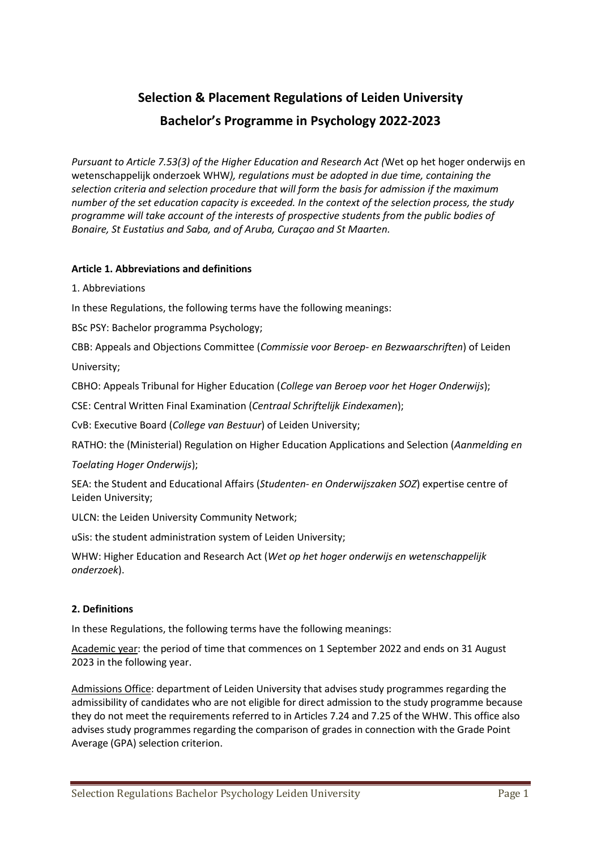# **Selection & Placement Regulations of Leiden University Bachelor's Programme in Psychology 2022-2023**

*Pursuant to Article 7.53(3) of the Higher Education and Research Act (*Wet op het hoger onderwijs en wetenschappelijk onderzoek WHW*), regulations must be adopted in due time, containing the selection criteria and selection procedure that will form the basis for admission if the maximum number of the set education capacity is exceeded. In the context of the selection process, the study programme will take account of the interests of prospective students from the public bodies of Bonaire, St Eustatius and Saba, and of Aruba, Curaçao and St Maarten.*

## **Article 1. Abbreviations and definitions**

1. Abbreviations

In these Regulations, the following terms have the following meanings:

BSc PSY: Bachelor programma Psychology;

CBB: Appeals and Objections Committee (*Commissie voor Beroep- en Bezwaarschriften*) of Leiden University;

CBHO: Appeals Tribunal for Higher Education (*College van Beroep voor het Hoger Onderwijs*);

CSE: Central Written Final Examination (*Centraal Schriftelijk Eindexamen*);

CvB: Executive Board (*College van Bestuur*) of Leiden University;

RATHO: the (Ministerial) Regulation on Higher Education Applications and Selection (*Aanmelding en*

*Toelating Hoger Onderwijs*);

SEA: the Student and Educational Affairs (*Studenten- en Onderwijszaken SOZ*) expertise centre of Leiden University;

ULCN: the Leiden University Community Network;

uSis: the student administration system of Leiden University;

WHW: Higher Education and Research Act (*Wet op het hoger onderwijs en wetenschappelijk onderzoek*).

## **2. Definitions**

In these Regulations, the following terms have the following meanings:

Academic year: the period of time that commences on 1 September 2022 and ends on 31 August 2023 in the following year.

Admissions Office: department of Leiden University that advises study programmes regarding the admissibility of candidates who are not eligible for direct admission to the study programme because they do not meet the requirements referred to in Articles 7.24 and 7.25 of the WHW. This office also advises study programmes regarding the comparison of grades in connection with the Grade Point Average (GPA) selection criterion.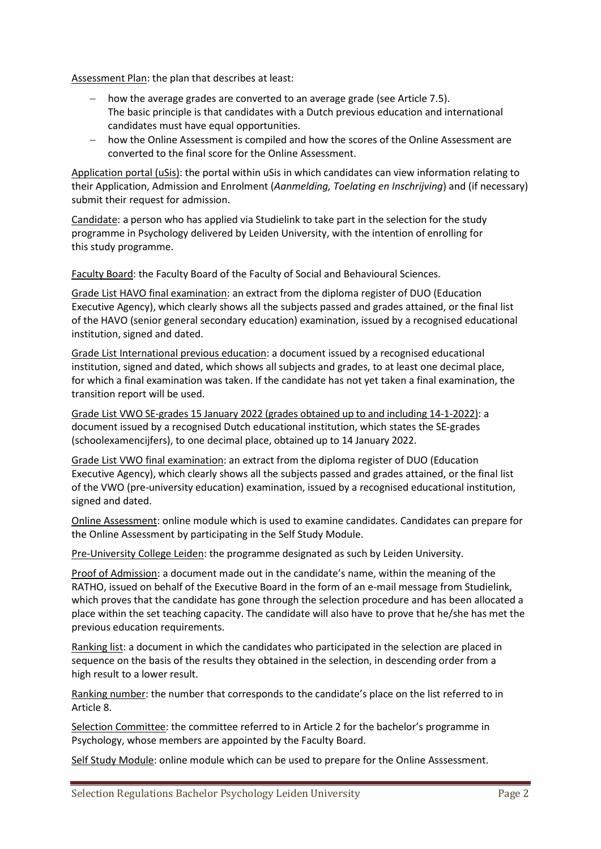Assessment Plan: the plan that describes at least:

- − how the average grades are converted to an average grade (see Article 7.5). The basic principle is that candidates with a Dutch previous education and international candidates must have equal opportunities.
- − how the Online Assessment is compiled and how the scores of the Online Assessment are converted to the final score for the Online Assessment.

Application portal (uSis): the portal within uSis in which candidates can view information relating to their Application, Admission and Enrolment (*Aanmelding, Toelating en Inschrijving*) and (if necessary) submit their request for admission.

Candidate: a person who has applied via Studielink to take part in the selection for the study programme in Psychology delivered by Leiden University, with the intention of enrolling for this study programme.

Faculty Board: the Faculty Board of the Faculty of Social and Behavioural Sciences.

Grade List HAVO final examination: an extract from the diploma register of DUO (Education Executive Agency), which clearly shows all the subjects passed and grades attained, or the final list of the HAVO (senior general secondary education) examination, issued by a recognised educational institution, signed and dated.

Grade List International previous education: a document issued by a recognised educational institution, signed and dated, which shows all subjects and grades, to at least one decimal place, for which a final examination was taken. If the candidate has not yet taken a final examination, the transition report will be used.

Grade List VWO SE-grades 15 January 2022 (grades obtained up to and including 14-1-2022): a document issued by a recognised Dutch educational institution, which states the SE-grades (schoolexamencijfers), to one decimal place, obtained up to 14 January 2022.

Grade List VWO final examination: an extract from the diploma register of DUO (Education Executive Agency), which clearly shows all the subjects passed and grades attained, or the final list of the VWO (pre-university education) examination, issued by a recognised educational institution, signed and dated.

Online Assessment: online module which is used to examine candidates. Candidates can prepare for the Online Assessment by participating in the Self Study Module.

Pre-University College Leiden: the programme designated as such by Leiden University.

Proof of Admission: a document made out in the candidate's name, within the meaning of the RATHO, issued on behalf of the Executive Board in the form of an e-mail message from Studielink, which proves that the candidate has gone through the selection procedure and has been allocated a place within the set teaching capacity. The candidate will also have to prove that he/she has met the previous education requirements.

Ranking list: a document in which the candidates who participated in the selection are placed in sequence on the basis of the results they obtained in the selection, in descending order from a high result to a lower result.

Ranking number: the number that corresponds to the candidate's place on the list referred to in Article 8.

Selection Committee: the committee referred to in Article 2 for the bachelor's programme in Psychology, whose members are appointed by the Faculty Board.

Self Study Module: online module which can be used to prepare for the Online Asssessment.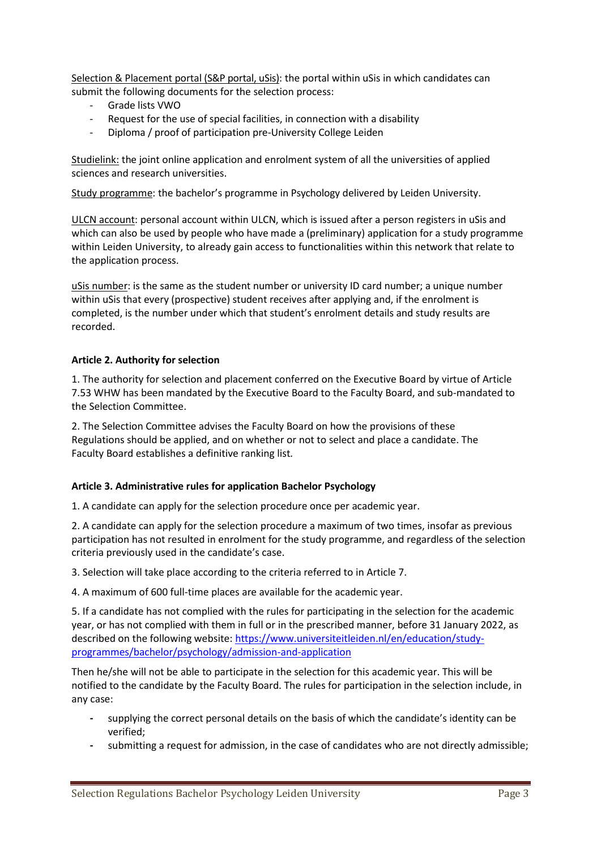Selection & Placement portal (S&P portal, uSis): the portal within uSis in which candidates can submit the following documents for the selection process:

- Grade lists VWO
- Request for the use of special facilities, in connection with a disability
- Diploma / proof of participation pre-University College Leiden

Studielink: the joint online application and enrolment system of all the universities of applied sciences and research universities.

Study programme: the bachelor's programme in Psychology delivered by Leiden University.

ULCN account: personal account within ULCN, which is issued after a person registers in uSis and which can also be used by people who have made a (preliminary) application for a study programme within Leiden University, to already gain access to functionalities within this network that relate to the application process.

uSis number: is the same as the student number or university ID card number; a unique number within uSis that every (prospective) student receives after applying and, if the enrolment is completed, is the number under which that student's enrolment details and study results are recorded.

#### **Article 2. Authority for selection**

1. The authority for selection and placement conferred on the Executive Board by virtue of Article 7.53 WHW has been mandated by the Executive Board to the Faculty Board, and sub-mandated to the Selection Committee.

2. The Selection Committee advises the Faculty Board on how the provisions of these Regulations should be applied, and on whether or not to select and place a candidate. The Faculty Board establishes a definitive ranking list*.*

#### **Article 3. Administrative rules for application Bachelor Psychology**

1. A candidate can apply for the selection procedure once per academic year.

2. A candidate can apply for the selection procedure a maximum of two times, insofar as previous participation has not resulted in enrolment for the study programme, and regardless of the selection criteria previously used in the candidate's case.

3. Selection will take place according to the criteria referred to in Article 7.

4. A maximum of 600 full-time places are available for the academic year.

5. If a candidate has not complied with the rules for participating in the selection for the academic year, or has not complied with them in full or in the prescribed manner, before 31 January 2022, as described on the following website: [https://www.universiteitleiden.nl/en/education/study](https://www.universiteitleiden.nl/en/education/study-programmes/bachelor/psychology/admission-and-application)[programmes/bachelor/psychology/admission-and-application](https://www.universiteitleiden.nl/en/education/study-programmes/bachelor/psychology/admission-and-application)

Then he/she will not be able to participate in the selection for this academic year. This will be notified to the candidate by the Faculty Board. The rules for participation in the selection include, in any case:

- **-** supplying the correct personal details on the basis of which the candidate's identity can be verified;
- **-** submitting a request for admission, in the case of candidates who are not directly admissible;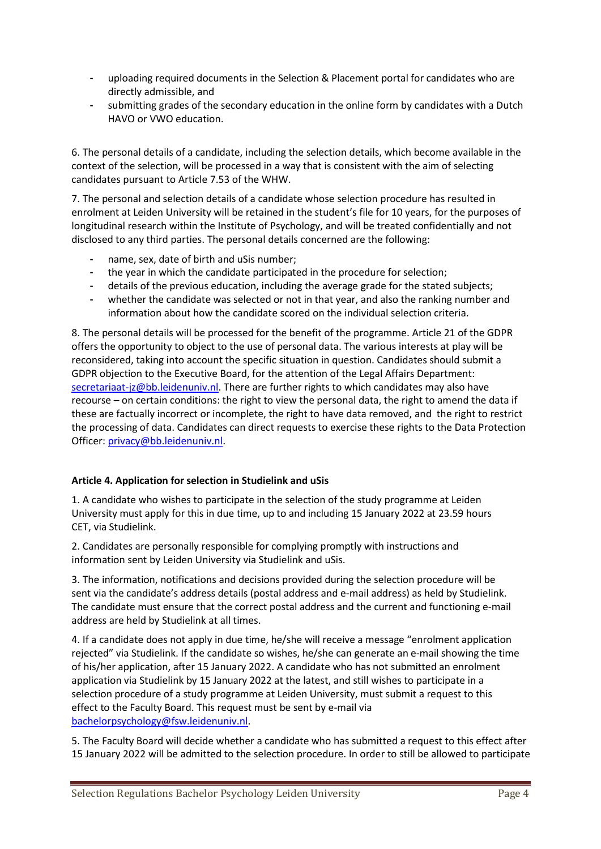- **-** uploading required documents in the Selection & Placement portal for candidates who are directly admissible, and
- **-** submitting grades of the secondary education in the online form by candidates with a Dutch HAVO or VWO education.

6. The personal details of a candidate, including the selection details, which become available in the context of the selection, will be processed in a way that is consistent with the aim of selecting candidates pursuant to Article 7.53 of the WHW.

7. The personal and selection details of a candidate whose selection procedure has resulted in enrolment at Leiden University will be retained in the student's file for 10 years, for the purposes of longitudinal research within the Institute of Psychology, and will be treated confidentially and not disclosed to any third parties. The personal details concerned are the following:

- **-** name, sex, date of birth and uSis number;
- **-** the year in which the candidate participated in the procedure for selection;
- **-** details of the previous education, including the average grade for the stated subjects;
- **-** whether the candidate was selected or not in that year, and also the ranking number and information about how the candidate scored on the individual selection criteria.

8. The personal details will be processed for the benefit of the programme. Article 21 of the GDPR offers the opportunity to object to the use of personal data. The various interests at play will be reconsidered, taking into account the specific situation in question. Candidates should submit a GDPR objection to the Executive Board, for the attention of the Legal Affairs Department: [secretariaat-jz@bb.leidenuniv.nl.](mailto:secretariaat-jz@bb.leidenuniv.nl) There are further rights to which candidates may also have recourse – on certain conditions: the right to view the personal data, the right to amend the data if these are factually incorrect or incomplete, the right to have data removed, and the right to restrict the processing of data. Candidates can direct requests to exercise these rights to the Data Protection Officer: [privacy@bb.leidenuniv.nl.](mailto:privacy@bb.leidenuniv.nl)

#### **Article 4. Application for selection in Studielink and uSis**

1. A candidate who wishes to participate in the selection of the study programme at Leiden University must apply for this in due time, up to and including 15 January 2022 at 23.59 hours CET, via Studielink.

2. Candidates are personally responsible for complying promptly with instructions and information sent by Leiden University via Studielink and uSis.

3. The information, notifications and decisions provided during the selection procedure will be sent via the candidate's address details (postal address and e-mail address) as held by Studielink. The candidate must ensure that the correct postal address and the current and functioning e-mail address are held by Studielink at all times.

4. If a candidate does not apply in due time, he/she will receive a message "enrolment application rejected" via Studielink. If the candidate so wishes, he/she can generate an e-mail showing the time of his/her application, after 15 January 2022. A candidate who has not submitted an enrolment application via Studielink by 15 January 2022 at the latest, and still wishes to participate in a selection procedure of a study programme at Leiden University, must submit a request to this effect to the Faculty Board. This request must be sent by e-mail via [bachelorpsychology@fsw.leidenuniv.nl.](mailto:bachelorpsychology@fsw.leidenuniv.nl)

5. The Faculty Board will decide whether a candidate who has submitted a request to this effect after 15 January 2022 will be admitted to the selection procedure. In order to still be allowed to participate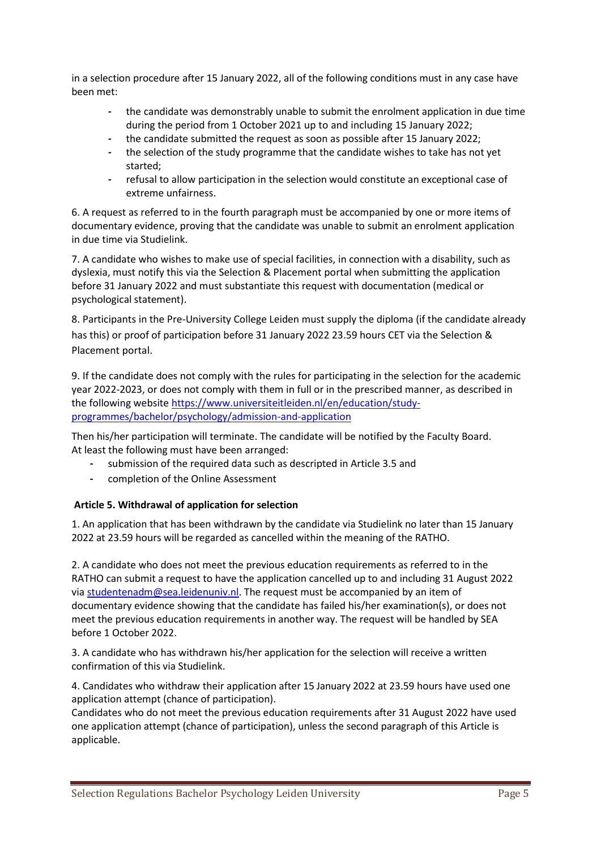in a selection procedure after 15 January 2022, all of the following conditions must in any case have been met:

- **-** the candidate was demonstrably unable to submit the enrolment application in due time during the period from 1 October 2021 up to and including 15 January 2022;
- **-** the candidate submitted the request as soon as possible after 15 January 2022;
- **-** the selection of the study programme that the candidate wishes to take has not yet started;
- **-** refusal to allow participation in the selection would constitute an exceptional case of extreme unfairness.

6. A request as referred to in the fourth paragraph must be accompanied by one or more items of documentary evidence, proving that the candidate was unable to submit an enrolment application in due time via Studielink.

7. A candidate who wishes to make use of special facilities, in connection with a disability, such as dyslexia, must notify this via the Selection & Placement portal when submitting the application before 31 January 2022 and must substantiate this request with documentation (medical or psychological statement).

8. Participants in the Pre-University College Leiden must supply the diploma (if the candidate already has this) or proof of participation before 31 January 2022 23.59 hours CET via the Selection & Placement portal.

9. If the candidate does not comply with the rules for participating in the selection for the academic year 2022-2023, or does not comply with them in full or in the prescribed manner, as described in the following website [https://www.universiteitleiden.nl/en/education/study](https://www.universiteitleiden.nl/en/education/study-programmes/bachelor/psychology/admission-and-application)[programmes/bachelor/psychology/admission-and-application](https://www.universiteitleiden.nl/en/education/study-programmes/bachelor/psychology/admission-and-application)

Then his/her participation will terminate. The candidate will be notified by the Faculty Board. At least the following must have been arranged:

- **-** submission of the required data such as descripted in Article 3.5 and
- **-** completion of the Online Assessment

## **Article 5. Withdrawal of application for selection**

1. An application that has been withdrawn by the candidate via Studielink no later than 15 January 2022 at 23.59 hours will be regarded as cancelled within the meaning of the RATHO.

2. A candidate who does not meet the previous education requirements as referred to in the RATHO can submit a request to have the application cancelled up to and including 31 August 2022 via [studentenadm@sea.leidenuniv.nl.](mailto:studentenadm@sea.leidenuniv.nl) The request must be accompanied by an item of documentary evidence showing that the candidate has failed his/her examination(s), or does not meet the previous education requirements in another way. The request will be handled by SEA before 1 October 2022.

3. A candidate who has withdrawn his/her application for the selection will receive a written confirmation of this via Studielink.

4. Candidates who withdraw their application after 15 January 2022 at 23.59 hours have used one application attempt (chance of participation).

Candidates who do not meet the previous education requirements after 31 August 2022 have used one application attempt (chance of participation), unless the second paragraph of this Article is applicable.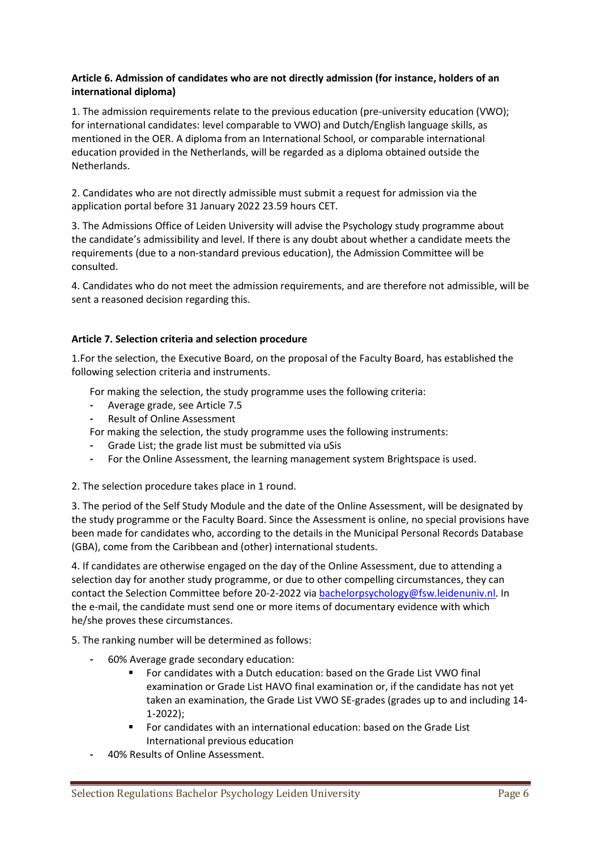#### **Article 6. Admission of candidates who are not directly admission (for instance, holders of an international diploma)**

1. The admission requirements relate to the previous education (pre-university education (VWO); for international candidates: level comparable to VWO) and Dutch/English language skills, as mentioned in the OER. A diploma from an International School, or comparable international education provided in the Netherlands, will be regarded as a diploma obtained outside the Netherlands.

2. Candidates who are not directly admissible must submit a request for admission via the application portal before 31 January 2022 23.59 hours CET.

3. The Admissions Office of Leiden University will advise the Psychology study programme about the candidate's admissibility and level. If there is any doubt about whether a candidate meets the requirements (due to a non-standard previous education), the Admission Committee will be consulted.

4. Candidates who do not meet the admission requirements, and are therefore not admissible, will be sent a reasoned decision regarding this.

## **Article 7. Selection criteria and selection procedure**

1.For the selection, the Executive Board, on the proposal of the Faculty Board, has established the following selection criteria and instruments.

For making the selection, the study programme uses the following criteria:

- **-** Average grade, see Article 7.5
- **-** Result of Online Assessment

For making the selection, the study programme uses the following instruments:

- **-** Grade List; the grade list must be submitted via uSis
- **-** For the Online Assessment, the learning management system Brightspace is used.

2. The selection procedure takes place in 1 round.

3. The period of the Self Study Module and the date of the Online Assessment, will be designated by the study programme or the Faculty Board. Since the Assessment is online, no special provisions have been made for candidates who, according to the details in the Municipal Personal Records Database (GBA), come from the Caribbean and (other) international students.

4. If candidates are otherwise engaged on the day of the Online Assessment, due to attending a selection day for another study programme, or due to other compelling circumstances, they can contact the Selection Committee before 20-2-2022 via [bachelorpsychology@fsw.leidenuniv.nl.](mailto:bachelorpsychology@fsw.leidenuniv.nl) In the e-mail, the candidate must send one or more items of documentary evidence with which he/she proves these circumstances.

5. The ranking number will be determined as follows:

- **-** 60% Average grade secondary education:
	- For candidates with a Dutch education: based on the Grade List VWO final examination or Grade List HAVO final examination or, if the candidate has not yet taken an examination, the Grade List VWO SE-grades (grades up to and including 14- 1-2022);
	- For candidates with an international education: based on the Grade List International previous education
- **-** 40% Results of Online Assessment.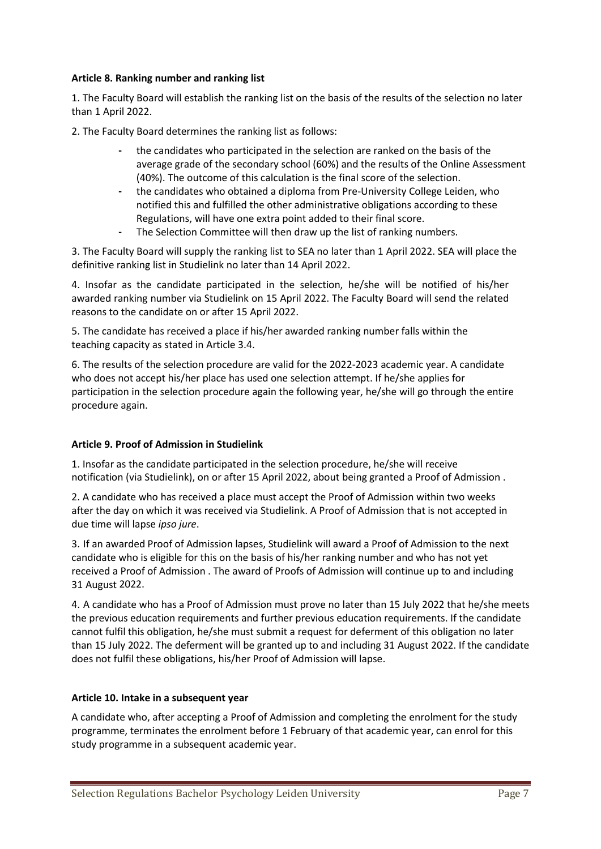#### **Article 8. Ranking number and ranking list**

1. The Faculty Board will establish the ranking list on the basis of the results of the selection no later than 1 April 2022.

2. The Faculty Board determines the ranking list as follows:

- **-** the candidates who participated in the selection are ranked on the basis of the average grade of the secondary school (60%) and the results of the Online Assessment (40%). The outcome of this calculation is the final score of the selection.
- **-** the candidates who obtained a diploma from Pre-University College Leiden, who notified this and fulfilled the other administrative obligations according to these Regulations, will have one extra point added to their final score.
- **-** The Selection Committee will then draw up the list of ranking numbers.

3. The Faculty Board will supply the ranking list to SEA no later than 1 April 2022. SEA will place the definitive ranking list in Studielink no later than 14 April 2022.

4. Insofar as the candidate participated in the selection, he/she will be notified of his/her awarded ranking number via Studielink on 15 April 2022. The Faculty Board will send the related reasons to the candidate on or after 15 April 2022.

5. The candidate has received a place if his/her awarded ranking number falls within the teaching capacity as stated in Article 3.4.

6. The results of the selection procedure are valid for the 2022-2023 academic year. A candidate who does not accept his/her place has used one selection attempt. If he/she applies for participation in the selection procedure again the following year, he/she will go through the entire procedure again.

## **Article 9. Proof of Admission in Studielink**

1. Insofar as the candidate participated in the selection procedure, he/she will receive notification (via Studielink), on or after 15 April 2022, about being granted a Proof of Admission .

2. A candidate who has received a place must accept the Proof of Admission within two weeks after the day on which it was received via Studielink. A Proof of Admission that is not accepted in due time will lapse *ipso jure*.

3. If an awarded Proof of Admission lapses, Studielink will award a Proof of Admission to the next candidate who is eligible for this on the basis of his/her ranking number and who has not yet received a Proof of Admission . The award of Proofs of Admission will continue up to and including 31 August 2022.

4. A candidate who has a Proof of Admission must prove no later than 15 July 2022 that he/she meets the previous education requirements and further previous education requirements. If the candidate cannot fulfil this obligation, he/she must submit a request for deferment of this obligation no later than 15 July 2022. The deferment will be granted up to and including 31 August 2022. If the candidate does not fulfil these obligations, his/her Proof of Admission will lapse.

#### **Article 10. Intake in a subsequent year**

A candidate who, after accepting a Proof of Admission and completing the enrolment for the study programme, terminates the enrolment before 1 February of that academic year, can enrol for this study programme in a subsequent academic year.